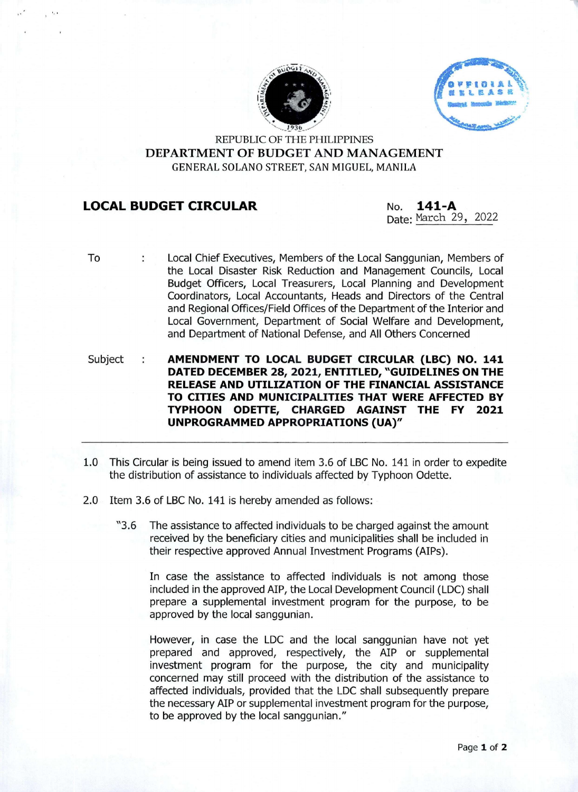



REPUBLIC OF THE PHILIPPINES **DEPARTMENT OF BUDGET AND MANAGEMENT** GENERAL SOLANO STREET, SAN MIGUEL, MANILA

## **LOCAL BUDGET CIRCULAR No. 141-A**

Date: March 29, 2022

To

- Local Chief Executives, Members of the Local Sanggunian, Members of  $\ddot{\phantom{a}}$ the Local Disaster Risk Reduction and Management Councils, Local Budget Officers, Local Treasurers, Local Planning and Development Coordinators, Local Accountants, Heads and Directors of the Central and Regional Offices/Field Offices of the Department of the Interior and Local Government, Department of Social Welfare and Development, and Department of National Defense, and All Others Concerned
- Subject **AMENDMENT TO LOCAL BUDGET CIRCULAR (LBC) NO. 141**  $\ddot{\phantom{a}}$ **DATED DECEMBER 28, 2021, ENTITLED, "GUIDELINES ON THE RELEASE AND UTILIZATION OF THE FINANCIAL ASSISTANCE TO CITIES AND MUNICIPALITIES THAT WERE AFFECTED BY TYPHOON ODETTE, CHARGED AGAINST THE FY 2021 UNPROGRAMMED APPROPRIATIONS (UA)"**
- 1.0 This Circular is being issued to amend item 3.6 of LBC No. 141 in order to expedite the distribution of assistance to individuals affected by Typhoon Odette.
- 2.0 Item 3.6 of LBC No. 141 is hereby amended as follows:
	- "3.6 The assistance to affected individuals to be charged against the amount received by the beneficiary cities and municipalities shall be included in their respective approved Annual Investment Programs (AIPs).

In case the assistance to affected individuals is not among those included in the approved AIP, the Local Development Council (LDC) shall prepare a supplemental investment program for the purpose, to be approved by the local sanggunian.

However, in case the LDC and the local sanggunian have not yet prepared and approved, respectively, the AIP or supplemental investment program for the purpose, the city and municipality concerned may still proceed with the distribution of the assistance to affected individuals, provided that the LDC shall subsequently prepare the necessary AIP or supplemental investment program for the purpose, to be approved by the local sanggunian."